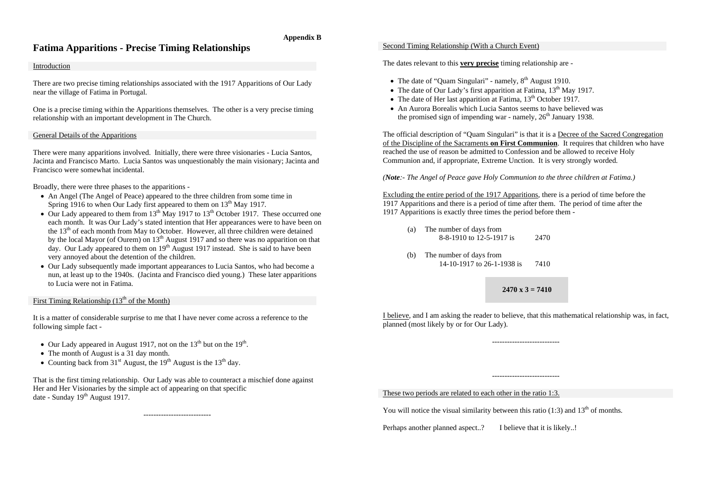### **Appendix B**

## **Fatima Apparitions - Precise Timing Relationships**

#### **Introduction**

There are two precise timing relationships associated with the 1917 Apparitions of Our Lady near the village of Fatima in Portugal.

One is a precise timing within the Apparitions themselves. The other is a very precise timing relationship with an important development in The Church.

#### General Details of the Apparitions

There were many apparitions involved. Initially, there were three visionaries - Lucia Santos, Jacinta and Francisco Marto. Lucia Santos was unquestionably the main visionary; Jacinta and Francisco were somewhat incidental.

Broadly, there were three phases to the apparitions -

- An Angel (The Angel of Peace) appeared to the three children from some time in Spring  $1916$  to when Our Lady first appeared to them on  $13<sup>th</sup>$  May 1917.
- Our Lady appeared to them from  $13<sup>th</sup>$  May 1917 to  $13<sup>th</sup>$  October 1917. These occurred one each month. It was Our Lady's stated intention that Her appearances were to have been on the  $13<sup>th</sup>$  of each month from May to October. However, all three children were detained by the local Mayor (of Ourem) on  $13<sup>th</sup>$  August 1917 and so there was no apparition on that day. Our Lady appeared to them on 19<sup>th</sup> August 1917 instead. She is said to have been very annoyed about the detention of the children.
- Our Lady subsequently made important appearances to Lucia Santos, who had become a nun, at least up to the 1940s. (Jacinta and Francisco died young.) These later apparitions to Lucia were not in Fatima.

#### First Timing Relationship  $(13<sup>th</sup>$  of the Month)

It is a matter of considerable surprise to me that I have never come across a reference to the following simple fact -

- Our Lady appeared in August 1917, not on the  $13<sup>th</sup>$  but on the  $19<sup>th</sup>$ .
- The month of August is a 31 day month.
- Counting back from  $31<sup>st</sup>$  August, the  $19<sup>th</sup>$  August is the  $13<sup>th</sup>$  day.

That is the first timing relationship. Our Lady was able to counteract a mischief done against Her and Her Visionaries by the simple act of appearing on that specific date - Sunday 19<sup>th</sup> August 1917.

---------------------------

#### Second Timing Relationship (With a Church Event)

The dates relevant to this **very precise** timing relationship are -

- The date of "Quam Singulari" namely, 8<sup>th</sup> August 1910.
- The date of Our Lady's first apparition at Fatima,  $13<sup>th</sup>$  May 1917.
- The date of Her last apparition at Fatima, 13<sup>th</sup> October 1917.
- An Aurora Borealis which Lucia Santos seems to have believed was the promised sign of impending war - namely,  $26<sup>th</sup>$  January 1938.

The official description of "Quam Singulari" is that it is a Decree of the Sacred Congregation of the Discipline of the Sacraments **on First Communion**. It requires that children who have reached the use of reason be admitted to Confession and be allowed to receive Holy Communion and, if appropriate, Extreme Unction. It is very strongly worded.

*(Note:- The Angel of Peace gave Holy Communion to the three children at Fatima.)*

Excluding the entire period of the 1917 Apparitions, there is a period of time before the 1917 Apparitions and there is a period of time after them. The period of time after the 1917 Apparitions is exactly three times the period before them -

- (a) The number of days from 8-8-1910 to 12-5-1917 is 2470
- (b) The number of days from 14-10-1917 to 26-1-1938 is 7410

#### **2470 x 3 = 7410**

I believe, and I am asking the reader to believe, that this mathematical relationship was, in fact, planned (most likely by or for Our Lady).

---------------------------

---------------------------

These two periods are related to each other in the ratio 1:3.

You will notice the visual similarity between this ratio  $(1:3)$  and  $13<sup>th</sup>$  of months.

Perhaps another planned aspect..? I believe that it is likely..!